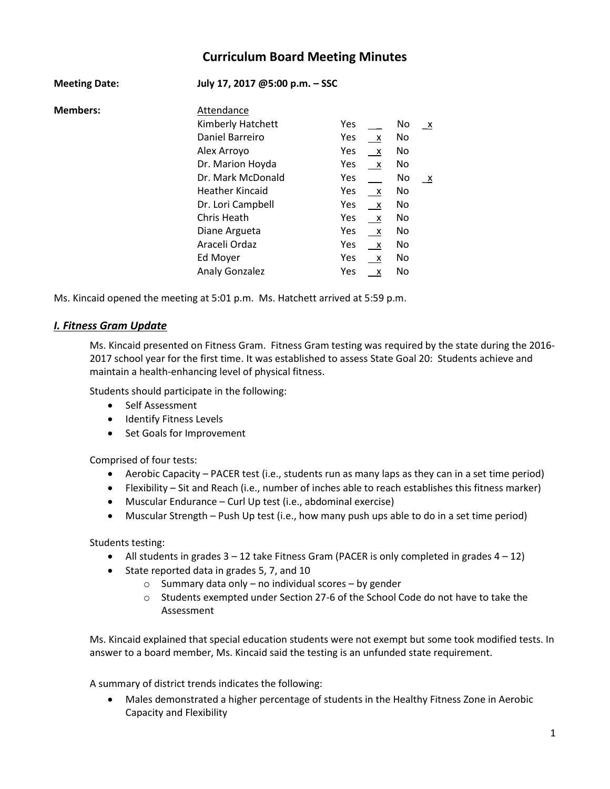# **Curriculum Board Meeting Minutes**

| <b>Meeting Date:</b> | July 17, 2017 @5:00 p.m. - SSC |            |                           |     |              |
|----------------------|--------------------------------|------------|---------------------------|-----|--------------|
| <b>Members:</b>      | Attendance                     |            |                           |     |              |
|                      | Kimberly Hatchett              | Yes        |                           | No  | $\mathbf{X}$ |
|                      | Daniel Barreiro                | Yes        | $\mathsf{X}$              | No. |              |
|                      | Alex Arroyo                    | Yes        | $\mathsf{X}$              | No. |              |
|                      | Dr. Marion Hoyda               | Yes        | $\mathsf{X}$              | No. |              |
|                      | Dr. Mark McDonald              | Yes        |                           | No  | $\mathbf{x}$ |
|                      | <b>Heather Kincaid</b>         | Yes        | $\mathsf{X}$              | No  |              |
|                      | Dr. Lori Campbell              | Yes        | $\mathsf{X}$              | No  |              |
|                      | Chris Heath                    | Yes        | $\mathsf{X}$              | No  |              |
|                      | Diane Argueta                  | Yes        | $\mathsf{X}$              | No  |              |
|                      | Araceli Ordaz                  | Yes        | $\mathsf{X}$              | No  |              |
|                      | Ed Moyer                       | <b>Yes</b> | $\mathsf{X}$              | No. |              |
|                      | <b>Analy Gonzalez</b>          | Yes        | $\boldsymbol{\mathsf{X}}$ | No  |              |

Ms. Kincaid opened the meeting at 5:01 p.m. Ms. Hatchett arrived at 5:59 p.m.

#### *I. Fitness Gram Update*

Ms. Kincaid presented on Fitness Gram. Fitness Gram testing was required by the state during the 2016- 2017 school year for the first time. It was established to assess State Goal 20: Students achieve and maintain a health-enhancing level of physical fitness.

Students should participate in the following:

- Self Assessment
- **•** Identify Fitness Levels
- Set Goals for Improvement

Comprised of four tests:

- Aerobic Capacity PACER test (i.e., students run as many laps as they can in a set time period)
- Flexibility Sit and Reach (i.e., number of inches able to reach establishes this fitness marker)
- Muscular Endurance Curl Up test (i.e., abdominal exercise)
- Muscular Strength Push Up test (i.e., how many push ups able to do in a set time period)

Students testing:

- All students in grades  $3 12$  take Fitness Gram (PACER is only completed in grades  $4 12$ )
- State reported data in grades 5, 7, and 10
	- o Summary data only no individual scores by gender
	- o Students exempted under Section 27-6 of the School Code do not have to take the Assessment

Ms. Kincaid explained that special education students were not exempt but some took modified tests. In answer to a board member, Ms. Kincaid said the testing is an unfunded state requirement.

A summary of district trends indicates the following:

 Males demonstrated a higher percentage of students in the Healthy Fitness Zone in Aerobic Capacity and Flexibility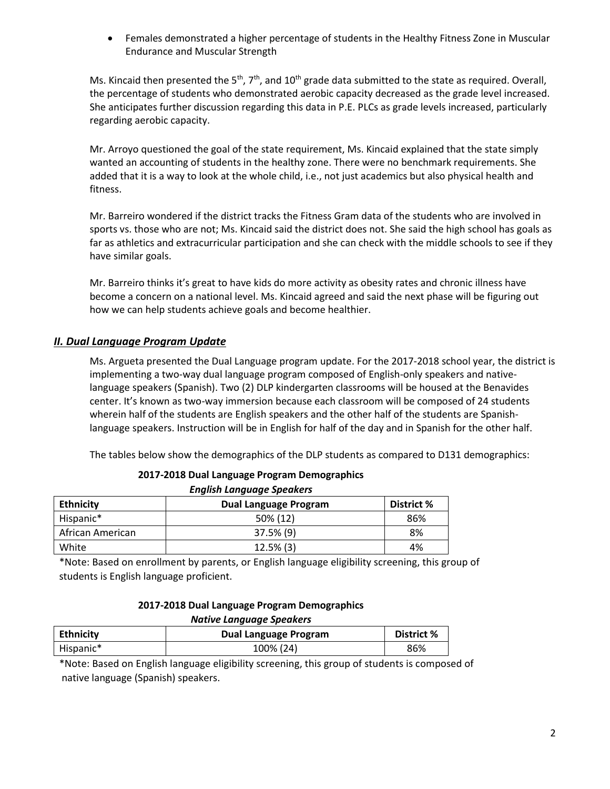Females demonstrated a higher percentage of students in the Healthy Fitness Zone in Muscular Endurance and Muscular Strength

Ms. Kincaid then presented the 5<sup>th</sup>, 7<sup>th</sup>, and 10<sup>th</sup> grade data submitted to the state as required. Overall, the percentage of students who demonstrated aerobic capacity decreased as the grade level increased. She anticipates further discussion regarding this data in P.E. PLCs as grade levels increased, particularly regarding aerobic capacity.

Mr. Arroyo questioned the goal of the state requirement, Ms. Kincaid explained that the state simply wanted an accounting of students in the healthy zone. There were no benchmark requirements. She added that it is a way to look at the whole child, i.e., not just academics but also physical health and fitness.

Mr. Barreiro wondered if the district tracks the Fitness Gram data of the students who are involved in sports vs. those who are not; Ms. Kincaid said the district does not. She said the high school has goals as far as athletics and extracurricular participation and she can check with the middle schools to see if they have similar goals.

Mr. Barreiro thinks it's great to have kids do more activity as obesity rates and chronic illness have become a concern on a national level. Ms. Kincaid agreed and said the next phase will be figuring out how we can help students achieve goals and become healthier.

### *II. Dual Language Program Update*

Ms. Argueta presented the Dual Language program update. For the 2017-2018 school year, the district is implementing a two-way dual language program composed of English-only speakers and nativelanguage speakers (Spanish). Two (2) DLP kindergarten classrooms will be housed at the Benavides center. It's known as two-way immersion because each classroom will be composed of 24 students wherein half of the students are English speakers and the other half of the students are Spanishlanguage speakers. Instruction will be in English for half of the day and in Spanish for the other half.

The tables below show the demographics of the DLP students as compared to D131 demographics:

| Lugusu Langaage Speakers |                       |            |  |  |
|--------------------------|-----------------------|------------|--|--|
| <b>Ethnicity</b>         | Dual Language Program | District % |  |  |
| Hispanic*                | 50% (12)              | 86%        |  |  |
| African American         | 37.5% (9)             | 8%         |  |  |
| White                    | $12.5\%$ (3)          | 4%         |  |  |

**2017-2018 Dual Language Program Demographics** *English Language Speakers*

\*Note: Based on enrollment by parents, or English language eligibility screening, this group of students is English language proficient.

| 2017-2018 Dual Language Program Demographics |
|----------------------------------------------|
| Native Language Speakers                     |

| .                |                       |            |  |  |  |
|------------------|-----------------------|------------|--|--|--|
| <b>Ethnicity</b> | Dual Language Program | District % |  |  |  |
| Hispanic*        | 100% (24)             | 86%        |  |  |  |

\*Note: Based on English language eligibility screening, this group of students is composed of native language (Spanish) speakers.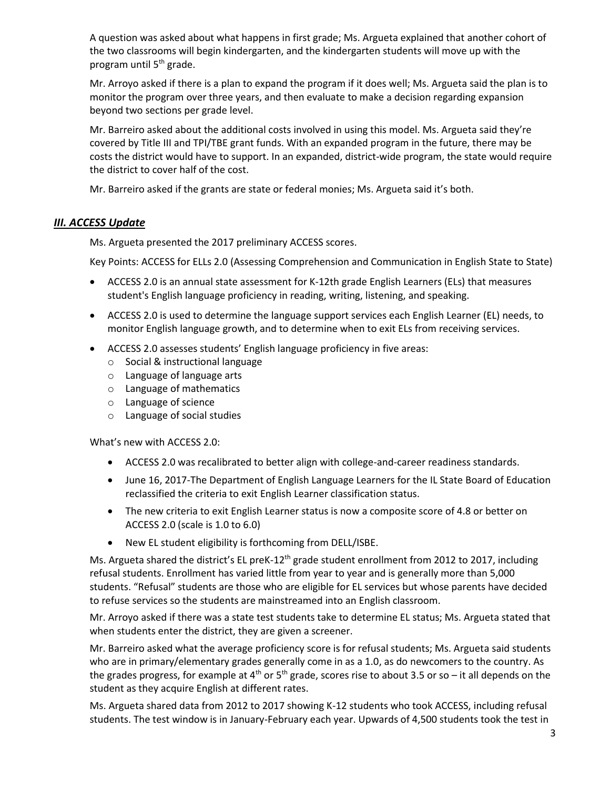A question was asked about what happens in first grade; Ms. Argueta explained that another cohort of the two classrooms will begin kindergarten, and the kindergarten students will move up with the program until 5<sup>th</sup> grade.

Mr. Arroyo asked if there is a plan to expand the program if it does well; Ms. Argueta said the plan is to monitor the program over three years, and then evaluate to make a decision regarding expansion beyond two sections per grade level.

Mr. Barreiro asked about the additional costs involved in using this model. Ms. Argueta said they're covered by Title III and TPI/TBE grant funds. With an expanded program in the future, there may be costs the district would have to support. In an expanded, district-wide program, the state would require the district to cover half of the cost.

Mr. Barreiro asked if the grants are state or federal monies; Ms. Argueta said it's both.

## *III. ACCESS Update*

Ms. Argueta presented the 2017 preliminary ACCESS scores.

Key Points: ACCESS for ELLs 2.0 (Assessing Comprehension and Communication in English State to State)

- ACCESS 2.0 is an annual state assessment for K-12th grade English Learners (ELs) that measures student's English language proficiency in reading, writing, listening, and speaking.
- ACCESS 2.0 is used to determine the language support services each English Learner (EL) needs, to monitor English language growth, and to determine when to exit ELs from receiving services.
- ACCESS 2.0 assesses students' English language proficiency in five areas:
	- o Social & instructional language
	- o Language of language arts
	- o Language of mathematics
	- o Language of science
	- o Language of social studies

What's new with ACCESS 2.0:

- ACCESS 2.0 was recalibrated to better align with college-and-career readiness standards.
- June 16, 2017-The Department of English Language Learners for the IL State Board of Education reclassified the criteria to exit English Learner classification status.
- The new criteria to exit English Learner status is now a composite score of 4.8 or better on ACCESS 2.0 (scale is 1.0 to 6.0)
- New EL student eligibility is forthcoming from DELL/ISBE.

Ms. Argueta shared the district's EL preK-12<sup>th</sup> grade student enrollment from 2012 to 2017, including refusal students. Enrollment has varied little from year to year and is generally more than 5,000 students. "Refusal" students are those who are eligible for EL services but whose parents have decided to refuse services so the students are mainstreamed into an English classroom.

Mr. Arroyo asked if there was a state test students take to determine EL status; Ms. Argueta stated that when students enter the district, they are given a screener.

Mr. Barreiro asked what the average proficiency score is for refusal students; Ms. Argueta said students who are in primary/elementary grades generally come in as a 1.0, as do newcomers to the country. As the grades progress, for example at 4<sup>th</sup> or 5<sup>th</sup> grade, scores rise to about 3.5 or so – it all depends on the student as they acquire English at different rates.

Ms. Argueta shared data from 2012 to 2017 showing K-12 students who took ACCESS, including refusal students. The test window is in January-February each year. Upwards of 4,500 students took the test in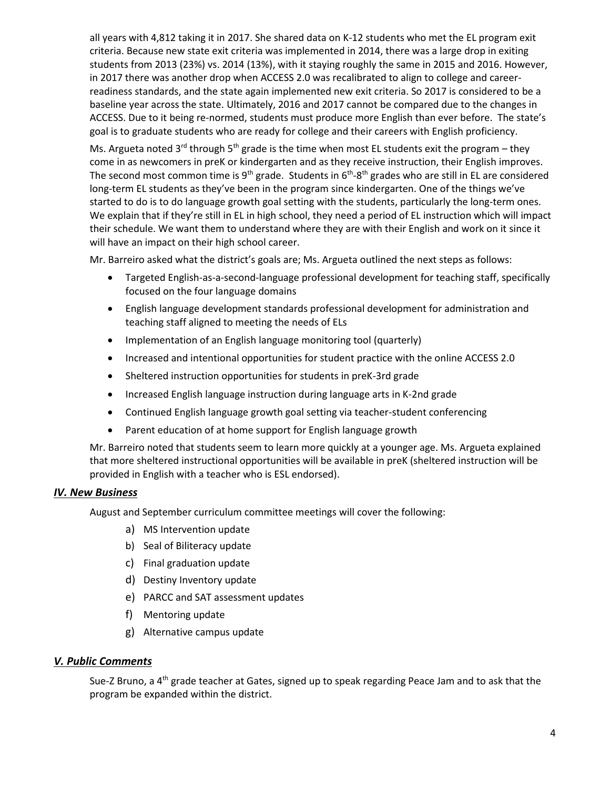all years with 4,812 taking it in 2017. She shared data on K-12 students who met the EL program exit criteria. Because new state exit criteria was implemented in 2014, there was a large drop in exiting students from 2013 (23%) vs. 2014 (13%), with it staying roughly the same in 2015 and 2016. However, in 2017 there was another drop when ACCESS 2.0 was recalibrated to align to college and careerreadiness standards, and the state again implemented new exit criteria. So 2017 is considered to be a baseline year across the state. Ultimately, 2016 and 2017 cannot be compared due to the changes in ACCESS. Due to it being re-normed, students must produce more English than ever before. The state's goal is to graduate students who are ready for college and their careers with English proficiency.

Ms. Argueta noted  $3^{rd}$  through  $5^{th}$  grade is the time when most EL students exit the program – they come in as newcomers in preK or kindergarten and as they receive instruction, their English improves. The second most common time is 9<sup>th</sup> grade. Students in 6<sup>th</sup>-8<sup>th</sup> grades who are still in EL are considered long-term EL students as they've been in the program since kindergarten. One of the things we've started to do is to do language growth goal setting with the students, particularly the long-term ones. We explain that if they're still in EL in high school, they need a period of EL instruction which will impact their schedule. We want them to understand where they are with their English and work on it since it will have an impact on their high school career.

Mr. Barreiro asked what the district's goals are; Ms. Argueta outlined the next steps as follows:

- Targeted English-as-a-second-language professional development for teaching staff, specifically focused on the four language domains
- English language development standards professional development for administration and teaching staff aligned to meeting the needs of ELs
- Implementation of an English language monitoring tool (quarterly)
- Increased and intentional opportunities for student practice with the online ACCESS 2.0
- Sheltered instruction opportunities for students in preK-3rd grade
- Increased English language instruction during language arts in K-2nd grade
- Continued English language growth goal setting via teacher-student conferencing
- Parent education of at home support for English language growth

Mr. Barreiro noted that students seem to learn more quickly at a younger age. Ms. Argueta explained that more sheltered instructional opportunities will be available in preK (sheltered instruction will be provided in English with a teacher who is ESL endorsed).

### *IV. New Business*

August and September curriculum committee meetings will cover the following:

- a) MS Intervention update
- b) Seal of Biliteracy update
- c) Final graduation update
- d) Destiny Inventory update
- e) PARCC and SAT assessment updates
- f) Mentoring update
- g) Alternative campus update

### *V. Public Comments*

Sue-Z Bruno, a 4<sup>th</sup> grade teacher at Gates, signed up to speak regarding Peace Jam and to ask that the program be expanded within the district.